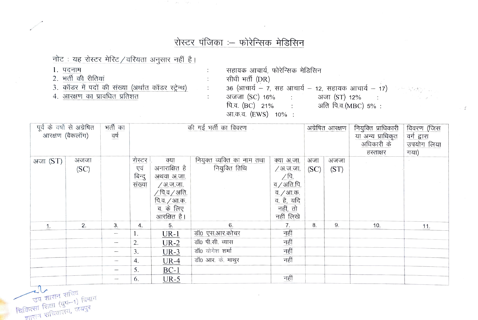## रोस्टर पंजिका :- फोरेन्सिक मेडिसिन

 $\ddot{\phantom{a}}$ 

 $\ddot{\phantom{a}}$  $\ddot{\cdot}$  **Contract Contract** 

नोट: यह रोस्टर मेरिट/वरियता अनुसार नहीं है।

- 1. पदनाम
- 2. भर्ती की रीतियां
- 3. कॉडर में पदों की संख्या (अर्थात कॉडर स्ट्रेन्थ)<br>4. आरक्षण का प्रावधित प्रतिशत
- 

| सहायक आचार्य, फोरेन्सिक मेडिसिन                                |             |
|----------------------------------------------------------------|-------------|
| सीधी भर्ती (DR)                                                |             |
| 36 (आचार्य – 7, सह आचार्य – 12, सहायक आचार्य – 17) संकलाका प्र |             |
| अजजा (SC) 16% :<br>अजा (ST) 12% :                              | in the part |
| अति पि.व. (MBC) 5%:<br>पि.व. (BC) 21%                          |             |
| आ.क.व. (EWS) 10% :                                             |             |

 $\preceq$ 

| पूर्व के वर्षो से अग्रेषित<br>भर्ती का<br>.<br>आरक्षण (बैकलॉग)<br>वर्ष |              | की गई भर्ती का विवरण |                                   |                                                                                                                              |                                             |                                                                                                            | अग्रेषित आरक्षण | नियुक्ति प्राधिकारी<br>या अन्य प्राधिकृत<br>अधिकारी के<br>हस्ताक्षर | विवरण (जिस<br>वर्ग द्वारा<br>उपयोग लिया<br>गया) |     |
|------------------------------------------------------------------------|--------------|----------------------|-----------------------------------|------------------------------------------------------------------------------------------------------------------------------|---------------------------------------------|------------------------------------------------------------------------------------------------------------|-----------------|---------------------------------------------------------------------|-------------------------------------------------|-----|
| अजा (ST)                                                               | अजजा<br>(SC) |                      | रोस्टर<br>एवं<br>बिन्दु<br>संख्या | क्या<br>अनाराक्षित है<br>अथवा अ.जा.<br>∕ अ.ज.जा.<br>$\sqrt{p}$ .व $\sqrt{3}$ ति.<br>पि.व. / आ.क.<br>व. के लिए<br>आरक्षित है। | नियुक्त व्यक्ति का नाम तथा<br>नियुक्ति तिथि | क्या अ.जा.<br>/ अ.ज.जा.<br>$\sqrt{p}$ .<br>व / अति.पि.<br>व. / आ.क.<br>व. है, यदि<br>नहीं, तो<br>नहीं लिखे | अजा<br>(SC)     | अजजा<br>(ST)                                                        |                                                 |     |
| 1.                                                                     | 2.           | 3 <sub>1</sub>       | 4.                                | 5.                                                                                                                           | 6.                                          | $\frac{7}{2}$                                                                                              | 8.              | 9.                                                                  | 10.                                             | 11. |
|                                                                        |              |                      |                                   | $UR-1$                                                                                                                       | डॉ0 एस.आर.कोचर                              | नहीं                                                                                                       |                 |                                                                     |                                                 |     |
|                                                                        |              |                      | 2.                                | $UR-2$                                                                                                                       | डॉ0 पी.सी. व्यास                            | नहीं                                                                                                       |                 |                                                                     |                                                 |     |
|                                                                        |              |                      | 3.                                | $UR-3$                                                                                                                       | डॉ0 योगेश शर्मा                             | नहीं                                                                                                       |                 |                                                                     |                                                 |     |
|                                                                        |              |                      | 4.                                | $UR-4$                                                                                                                       | डॉ0 आर. के. माथुर                           | नहीं                                                                                                       |                 |                                                                     |                                                 |     |
|                                                                        |              | $\hspace{0.05cm}$    | 5.                                | $BC-1$                                                                                                                       |                                             |                                                                                                            |                 |                                                                     |                                                 |     |
|                                                                        |              | -                    | 6.                                | $UR-5$                                                                                                                       |                                             | नहीं                                                                                                       |                 |                                                                     |                                                 |     |

 $\sim$ 

पुष शासन सचिव<br>राष्ट्रपा शिक्षा (युष-1) विभाग<br>चासन सचिवालय, जयपुर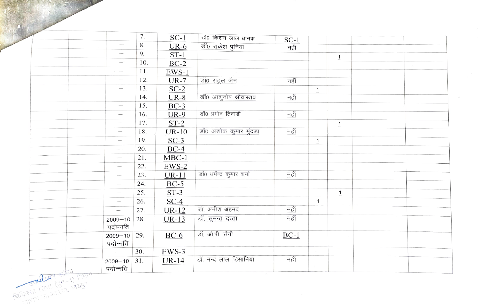|  |                         | $\overline{\phantom{m}}$         | 7.  | $SC-1$  | डॉ0 किशन लाल धानक          | $SC-1$ |              |                |  |
|--|-------------------------|----------------------------------|-----|---------|----------------------------|--------|--------------|----------------|--|
|  |                         | $\overline{\phantom{0}}$         | 8.  | $UR-6$  | डॉ0 राकेश पुनिया           | नहीं   |              |                |  |
|  |                         |                                  | 9.  | $ST-1$  |                            |        |              |                |  |
|  |                         | $\overbrace{\phantom{12332}}$    | 10. | $BC-2$  |                            |        |              | $\overline{1}$ |  |
|  |                         | $\overbrace{\phantom{12322111}}$ | 11. | $EWS-1$ |                            |        |              |                |  |
|  |                         | $\overline{\phantom{m}}$         | 12. | $UR-7$  | डॉ0 राहुल जैन              | नहीं   |              |                |  |
|  |                         | $\overline{\phantom{0}}$         | 13. | $SC-2$  |                            |        | $\mathbf{1}$ |                |  |
|  |                         | $\overbrace{\qquad \qquad }^{}$  | 14. | $UR-8$  | डॉ0 आशुतोष श्रीवास्तव      | नहीं   |              |                |  |
|  |                         |                                  | 15. | $BC-3$  |                            |        |              |                |  |
|  |                         |                                  | 16. | $UR-9$  | डॉ0 प्रमोद तिवाडी          | नहीं   |              |                |  |
|  |                         |                                  | 17. | $ST-2$  |                            |        |              | $\mathbf{1}$   |  |
|  |                         | $\overline{\phantom{a}}$         | 18. | $UR-10$ | डॉ0 अशोक कुमार मुंदड़ा     | नहीं   |              |                |  |
|  |                         | $\overbrace{\qquad \qquad }^{}$  | 19. | $SC-3$  |                            |        | $\mathbf{1}$ |                |  |
|  |                         | $\overline{\phantom{0}}$         | 20. | $BC-4$  |                            |        |              |                |  |
|  |                         |                                  | 21. | $MBC-1$ |                            |        |              |                |  |
|  |                         |                                  | 22. | $EWS-2$ |                            |        |              |                |  |
|  |                         | $\overline{\phantom{a}}$         | 23. | $UR-11$ | डॉ0 धर्मेन्द्र कुमार शर्मा | नहीं   |              |                |  |
|  |                         |                                  | 24. | $BC-5$  |                            |        |              |                |  |
|  |                         | $\overline{\phantom{a}}$         | 25. | $ST-3$  |                            |        |              | $\mathbf{1}$   |  |
|  |                         | $\overline{\phantom{m}}$         | 26. | $SC-4$  |                            |        | $\mathbf{1}$ |                |  |
|  |                         | $\overline{\phantom{m}}$         | 27. | $UR-12$ | डॉ. अनीश अहमद              | नहीं   |              |                |  |
|  |                         | $2009 - 10$<br>पदोन्नति          | 28. | $UR-13$ | डॉ. सुमन्त दत्ता           | नहीं   |              |                |  |
|  | $\sim$                  | $2009 - 10$<br>पदोन्नति          | 29. | $BC-6$  | डॉ. ओ.पी. सैनी             | $BC-1$ |              |                |  |
|  |                         | $\overline{\phantom{0}}$         | 30. | $EWS-3$ |                            |        |              |                |  |
|  | Ellenter Friedrich Jags | $2009 - 10$ 31.<br>पदोन्नति      |     | $UR-14$ | डॉ. नन्द लाल डिसानिया      | नहीं   |              |                |  |

 $\hat{\mathcal{L}}$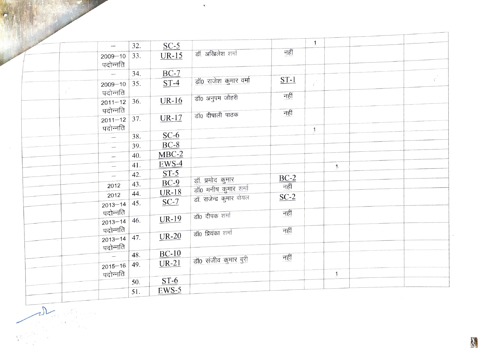|           | $\overline{\phantom{a}}$ | 32. | $SC-5$       |                          |                                                                  | $\mathbf{1}$          |                |  |           |
|-----------|--------------------------|-----|--------------|--------------------------|------------------------------------------------------------------|-----------------------|----------------|--|-----------|
|           | $2009 - 10$<br>पदोन्नति  | 33. | $UR-15$      | डॉ. अखिलेश शर्मा         | नहीं                                                             |                       |                |  |           |
|           | $\overline{\phantom{a}}$ | 34. | $BC-7$       |                          |                                                                  |                       |                |  |           |
| $\vec{r}$ | $2009 - 10$<br>पदोन्नति  | 35. | $ST-4$       | डॉ0 राजेश कुमार वर्मा    | $ST-1$                                                           | $\tilde{\mathcal{C}}$ |                |  | $\vec{z}$ |
|           | $2011 - 12$<br>पदोन्नति  | 36. | $UR-16$      | डॉ0 अनुपम जौहरी          | नहीं                                                             |                       |                |  |           |
|           | $2011 - 12$<br>पदोन्नति  | 37. | $UR-17$      | डॉ0 दीपाली पाठक          | नहीं                                                             |                       |                |  |           |
|           | $\overline{\phantom{0}}$ | 38. | $SC-6$       |                          |                                                                  | $\mathbf{1}$          |                |  |           |
|           | $\overline{\phantom{0}}$ | 39. | $BC-8$       |                          |                                                                  |                       |                |  |           |
|           | $\overline{\phantom{0}}$ | 40. | $MBC-2$      |                          |                                                                  |                       |                |  |           |
|           | $\overline{\phantom{0}}$ | 41. | $EWS-4$      |                          |                                                                  |                       | $\mathbf{1}$ . |  |           |
|           | $\overline{\phantom{0}}$ | 42. | $ST-5$       | डॉ. प्रमोद कुमार         |                                                                  |                       |                |  |           |
|           | 2012                     | 43. | $BC-9$       | डॉ0 मनीष कुमार शर्मा     | $\underbrace{BC-2}_{\overline{\textrm{H}}\overline{\textrm{H}}}$ |                       |                |  |           |
|           | 2012                     | 44. | $UR-18$      | डॉ. राजेन्द्र कुमार बोयल | $SC-2$                                                           |                       |                |  |           |
|           | $2013 - 14$<br>पदोन्नति  | 45. | $SC-7$       | डॉ0 दीपक शर्मा           | नहीं                                                             |                       |                |  |           |
|           | $2013 - 14$<br>पदोन्नति  | 46. | <b>UR-19</b> |                          | नहीं                                                             |                       |                |  |           |
|           | $2013 - 14$<br>पदोन्नति  | 47. | $UR-20$      | डॉ0 प्रियंका शर्मा       |                                                                  |                       |                |  |           |
|           |                          | 48. | $BC-10$      |                          | नहीं                                                             |                       |                |  |           |
|           | $2015 - 16$              | 49. | $UR-21$      | डॉ0 संजीव कुमार बुरी     |                                                                  |                       | $\mathbf{1}$   |  |           |
|           | पदोन्नति                 | 50. | $ST-6$       |                          |                                                                  |                       |                |  |           |
|           |                          | 51. | $EWS-5$      |                          |                                                                  |                       |                |  |           |
|           |                          |     |              |                          |                                                                  |                       |                |  |           |